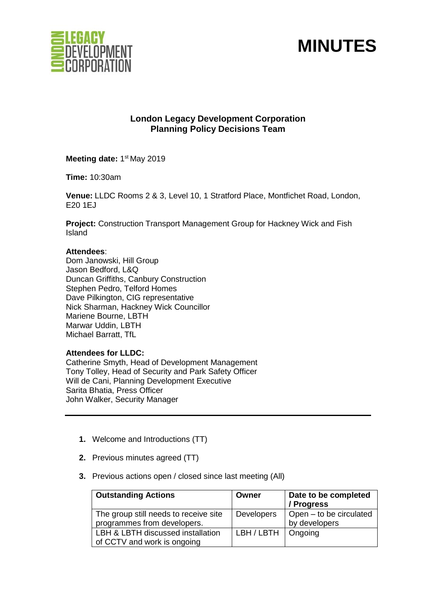

# **MINUTES**

### **London Legacy Development Corporation Planning Policy Decisions Team**

Meeting date: 1<sup>st</sup> May 2019

**Time:** 10:30am

**Venue:** LLDC Rooms 2 & 3, Level 10, 1 Stratford Place, Montfichet Road, London, E20 1EJ

**Project:** Construction Transport Management Group for Hackney Wick and Fish Island

#### **Attendees**:

Dom Janowski, Hill Group Jason Bedford, L&Q Duncan Griffiths, Canbury Construction Stephen Pedro, Telford Homes Dave Pilkington, CIG representative Nick Sharman, Hackney Wick Councillor Mariene Bourne, LBTH Marwar Uddin, LBTH Michael Barratt, TfL

#### **Attendees for LLDC:**

Catherine Smyth, Head of Development Management Tony Tolley, Head of Security and Park Safety Officer Will de Cani, Planning Development Executive Sarita Bhatia, Press Officer John Walker, Security Manager

- **1.** Welcome and Introductions (TT)
- **2.** Previous minutes agreed (TT)
- **3.** Previous actions open / closed since last meeting (All)

| <b>Outstanding Actions</b>                                           | Owner                  | Date to be completed<br>/ Progress       |
|----------------------------------------------------------------------|------------------------|------------------------------------------|
| The group still needs to receive site<br>programmes from developers. | <b>Developers</b>      | Open – to be circulated<br>by developers |
| LBH & LBTH discussed installation<br>of CCTV and work is ongoing     | $LBH / LBTH$   Ongoing |                                          |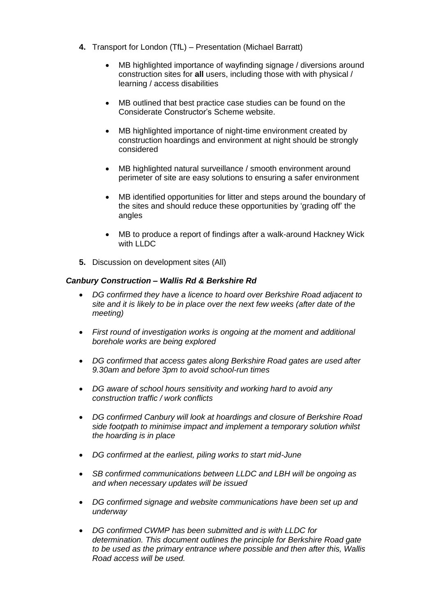- **4.** Transport for London (TfL) Presentation (Michael Barratt)
	- MB highlighted importance of wayfinding signage / diversions around construction sites for **all** users, including those with with physical / learning / access disabilities
	- MB outlined that best practice case studies can be found on the Considerate Constructor's Scheme website.
	- MB highlighted importance of night-time environment created by construction hoardings and environment at night should be strongly considered
	- MB highlighted natural surveillance / smooth environment around perimeter of site are easy solutions to ensuring a safer environment
	- MB identified opportunities for litter and steps around the boundary of the sites and should reduce these opportunities by 'grading off' the angles
	- MB to produce a report of findings after a walk-around Hackney Wick with LLDC
- **5.** Discussion on development sites (All)

#### *Canbury Construction – Wallis Rd & Berkshire Rd*

- *DG confirmed they have a licence to hoard over Berkshire Road adjacent to site and it is likely to be in place over the next few weeks (after date of the meeting)*
- *First round of investigation works is ongoing at the moment and additional borehole works are being explored*
- *DG confirmed that access gates along Berkshire Road gates are used after 9.30am and before 3pm to avoid school-run times*
- *DG aware of school hours sensitivity and working hard to avoid any construction traffic / work conflicts*
- *DG confirmed Canbury will look at hoardings and closure of Berkshire Road side footpath to minimise impact and implement a temporary solution whilst the hoarding is in place*
- *DG confirmed at the earliest, piling works to start mid-June*
- *SB confirmed communications between LLDC and LBH will be ongoing as and when necessary updates will be issued*
- *DG confirmed signage and website communications have been set up and underway*
- *DG confirmed CWMP has been submitted and is with LLDC for determination. This document outlines the principle for Berkshire Road gate to be used as the primary entrance where possible and then after this, Wallis Road access will be used.*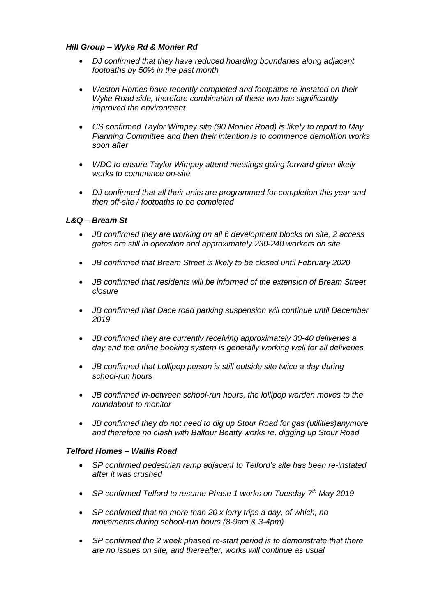#### *Hill Group – Wyke Rd & Monier Rd*

- *DJ confirmed that they have reduced hoarding boundaries along adjacent footpaths by 50% in the past month*
- *Weston Homes have recently completed and footpaths re-instated on their Wyke Road side, therefore combination of these two has significantly improved the environment*
- *CS confirmed Taylor Wimpey site (90 Monier Road) is likely to report to May Planning Committee and then their intention is to commence demolition works soon after*
- *WDC to ensure Taylor Wimpey attend meetings going forward given likely works to commence on-site*
- *DJ confirmed that all their units are programmed for completion this year and then off-site / footpaths to be completed*

#### *L&Q – Bream St*

- *JB confirmed they are working on all 6 development blocks on site, 2 access gates are still in operation and approximately 230-240 workers on site*
- *JB confirmed that Bream Street is likely to be closed until February 2020*
- *JB confirmed that residents will be informed of the extension of Bream Street closure*
- *JB confirmed that Dace road parking suspension will continue until December 2019*
- *JB confirmed they are currently receiving approximately 30-40 deliveries a day and the online booking system is generally working well for all deliveries*
- *JB confirmed that Lollipop person is still outside site twice a day during school-run hours*
- *JB confirmed in-between school-run hours, the lollipop warden moves to the roundabout to monitor*
- *JB confirmed they do not need to dig up Stour Road for gas (utilities)anymore and therefore no clash with Balfour Beatty works re. digging up Stour Road*

#### *Telford Homes – Wallis Road*

- *SP confirmed pedestrian ramp adjacent to Telford's site has been re-instated after it was crushed*
- *SP confirmed Telford to resume Phase 1 works on Tuesday 7th May 2019*
- *SP confirmed that no more than 20 x lorry trips a day, of which, no movements during school-run hours (8-9am & 3-4pm)*
- *SP confirmed the 2 week phased re-start period is to demonstrate that there are no issues on site, and thereafter, works will continue as usual*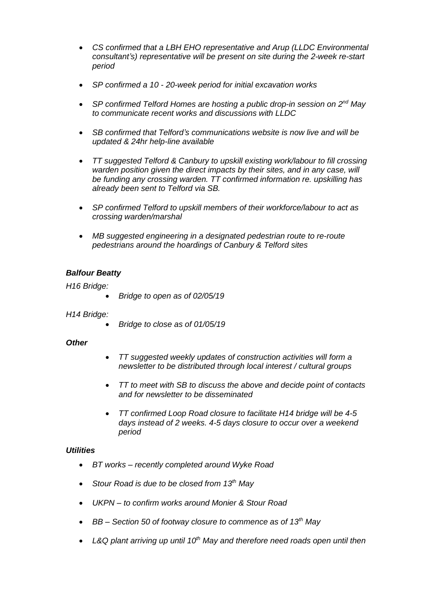- *CS confirmed that a LBH EHO representative and Arup (LLDC Environmental consultant's) representative will be present on site during the 2-week re-start period*
- *SP confirmed a 10 - 20-week period for initial excavation works*
- *SP confirmed Telford Homes are hosting a public drop-in session on 2nd May to communicate recent works and discussions with LLDC*
- *SB confirmed that Telford's communications website is now live and will be updated & 24hr help-line available*
- *TT suggested Telford & Canbury to upskill existing work/labour to fill crossing*  warden position given the direct impacts by their sites, and in any case, will *be funding any crossing warden. TT confirmed information re. upskilling has already been sent to Telford via SB.*
- *SP confirmed Telford to upskill members of their workforce/labour to act as crossing warden/marshal*
- *MB suggested engineering in a designated pedestrian route to re-route pedestrians around the hoardings of Canbury & Telford sites*

#### *Balfour Beatty*

#### *H16 Bridge:*

• *Bridge to open as of 02/05/19*

#### *H14 Bridge:*

• *Bridge to close as of 01/05/19*

#### *Other*

- *TT suggested weekly updates of construction activities will form a newsletter to be distributed through local interest / cultural groups*
- *TT to meet with SB to discuss the above and decide point of contacts and for newsletter to be disseminated*
- *TT confirmed Loop Road closure to facilitate H14 bridge will be 4-5 days instead of 2 weeks. 4-5 days closure to occur over a weekend period*

#### *Utilities*

- *BT works – recently completed around Wyke Road*
- *Stour Road is due to be closed from 13th May*
- *UKPN – to confirm works around Monier & Stour Road*
- *BB – Section 50 of footway closure to commence as of 13th May*
- *L&Q plant arriving up until 10th May and therefore need roads open until then*